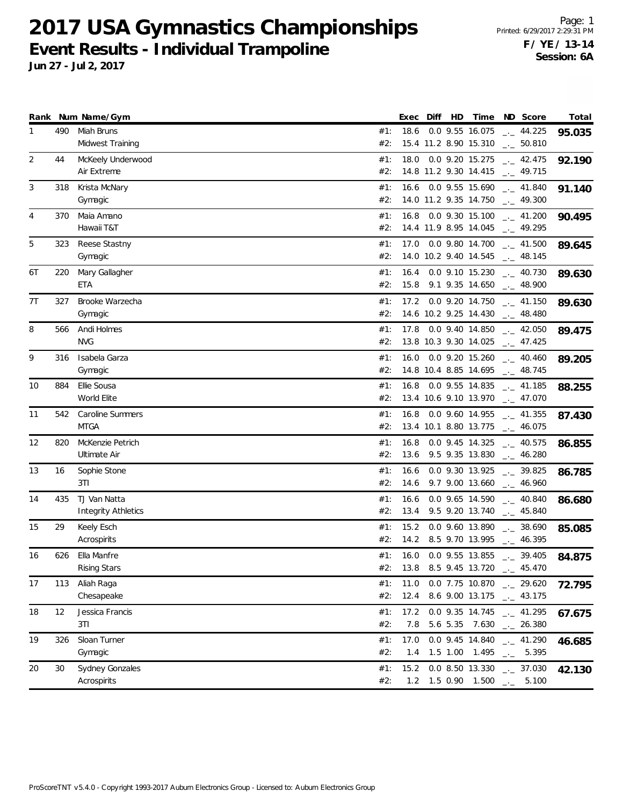**2017 USA Gymnastics Championships Event Results - Individual Trampoline**

|    |     | Rank Num Name/Gym                          |            | Exec         | Diff | HD | Time                                     | ND Score                                                                           | Total  |
|----|-----|--------------------------------------------|------------|--------------|------|----|------------------------------------------|------------------------------------------------------------------------------------|--------|
| 1  | 490 | Miah Bruns<br>Midwest Training             | #1:<br>#2: | 18.6         |      |    | 0.0 9.55 16.075                          | $\frac{1}{2}$ 44.225<br>15.4 11.2 8.90 15.310 __ 50.810                            | 95.035 |
| 2  | 44  | McKeely Underwood<br>Air Extreme           | #1:<br>#2: | 18.0         |      |    | 0.0 9.20 15.275                          | $\frac{1}{2}$ 42.475<br>14.8 11.2 9.30 14.415 $\frac{1}{2}$ 49.715                 | 92.190 |
| 3  | 318 | Krista McNary<br>Gymagic                   | #1:<br>#2: | 16.6         |      |    | 0.0 9.55 15.690<br>14.0 11.2 9.35 14.750 | $\frac{1}{2}$ 41.840<br>$-2$ 49.300                                                | 91.140 |
| 4  | 370 | Maia Amano<br>Hawaii T&T                   | #1:<br>#2: | 16.8         |      |    | 0.0 9.30 15.100<br>14.4 11.9 8.95 14.045 | $\frac{1}{2}$ 41.200<br>$-2.49.295$                                                | 90.495 |
| 5  | 323 | Reese Stastny<br>Gymagic                   | #1:<br>#2: | 17.0         |      |    | 0.0 9.80 14.700<br>14.0 10.2 9.40 14.545 | $\frac{1}{2}$ 41.500<br>$\frac{1}{2}$ 48.145                                       | 89.645 |
| 6T | 220 | Mary Gallagher<br><b>ETA</b>               | #1:<br>#2: | 16.4         |      |    |                                          | $0.0$ 9.10 15.230 $_{\leftarrow}$ 40.730<br>$15.8$ 9.1 9.35 14.650 $-$ 48.900      | 89.630 |
| 7T | 327 | Brooke Warzecha<br>Gymagic                 | #1:<br>#2: | 17.2         |      |    | 0.0 9.20 14.750                          | $\frac{1}{2}$ 41.150<br>14.6 10.2 9.25 14.430 - 48.480                             | 89.630 |
| 8  | 566 | Andi Holmes<br><b>NVG</b>                  | #1:<br>#2: | 17.8         |      |    | 0.0 9.40 14.850<br>13.8 10.3 9.30 14.025 | $-2.050$<br>$\frac{1}{2}$ 47.425                                                   | 89.475 |
| 9  | 316 | Isabela Garza<br>Gymagic                   | #1:<br>#2: | 16.0         |      |    |                                          | $0.0$ 9.20 15.260 $\ldots$ 40.460<br>14.8 10.4 8.85 14.695 __ 48.745               | 89.205 |
| 10 | 884 | Ellie Sousa<br>World Elite                 | #1:<br>#2: | 16.8         |      |    | 0.0 9.55 14.835                          | $-1$ 41.185<br>13.4 10.6 9.10 13.970 $\qquad$ 47.070                               | 88.255 |
| 11 | 542 | Caroline Summers<br><b>MTGA</b>            | #1:<br>#2: | 16.8         |      |    | 0.0 9.60 14.955<br>13.4 10.1 8.80 13.775 | $\frac{1}{2}$ 41.355<br>$\frac{1}{2}$ 46.075                                       | 87.430 |
| 12 | 820 | McKenzie Petrich<br>Ultimate Air           | #1:<br>#2: | 16.8<br>13.6 |      |    | 0.0 9.45 14.325                          | $\sim$ 40.575<br>$9.5$ $9.35$ $13.830$ $-2.46.280$                                 | 86.855 |
| 13 | 16  | Sophie Stone<br>3T1                        | #1:<br>#2: | 16.6         |      |    | 0.0 9.30 13.925                          | $\frac{1}{2}$ 39.825<br>14.6 9.7 9.00 13.660 $_{\leftarrow}$ 46.960                | 86.785 |
| 14 | 435 | TJ Van Natta<br><b>Integrity Athletics</b> | #1:<br>#2: | 16.6<br>13.4 |      |    | 0.0 9.65 14.590<br>9.5 9.20 13.740       | $\frac{1}{2}$ 40.840<br>$-2$ 45.840                                                | 86.680 |
| 15 | 29  | Keely Esch<br>Acrospirits                  | #1:<br>#2: | 15.2<br>14.2 |      |    | 0.0 9.60 13.890<br>8.5 9.70 13.995       | $-2.38.690$<br>$-1 - 46.395$                                                       | 85.085 |
| 16 | 626 | Ella Manfre<br><b>Rising Stars</b>         | #1:<br>#2: | 16.0<br>13.8 |      |    | 0.0 9.55 13.855<br>8.5 9.45 13.720       | $-2$ 39.405<br>$\frac{1}{2}$ 45.470                                                | 84.875 |
| 17 | 113 | Aliah Raga<br>Chesapeake                   | #1:<br>#2: | 11.0<br>12.4 |      |    |                                          | $0.0$ 7.75 10.870 $\ldots$ 29.620<br>8.6 9.00 13.175 $\qquad \qquad -2$ 43.175     | 72.795 |
| 18 | 12  | Jessica Francis<br>3T1                     | #1:<br>#2: | 17.2         |      |    |                                          | 0.0 9.35 14.745 $_{\sim}$ 41.295<br>7.8 5.6 5.35 7.630 $_{\leftarrow}$ 26.380      | 67.675 |
| 19 | 326 | Sloan Turner<br>Gymagic                    | #1:<br>#2: | 17.0<br>1.4  |      |    | 1.5 1.00 1.495 $\qquad$                  | 0.0 9.45 14.840 $-$ 41.290<br>5.395                                                | 46.685 |
| 20 | 30  | Sydney Gonzales<br>Acrospirits             | #1:<br>#2: | 15.2         |      |    |                                          | $0.0$ 8.50 13.330 $_{\leftarrow}$ 37.030<br>1.2 1.5 0.90 1.500 $\frac{1}{2}$ 5.100 | 42.130 |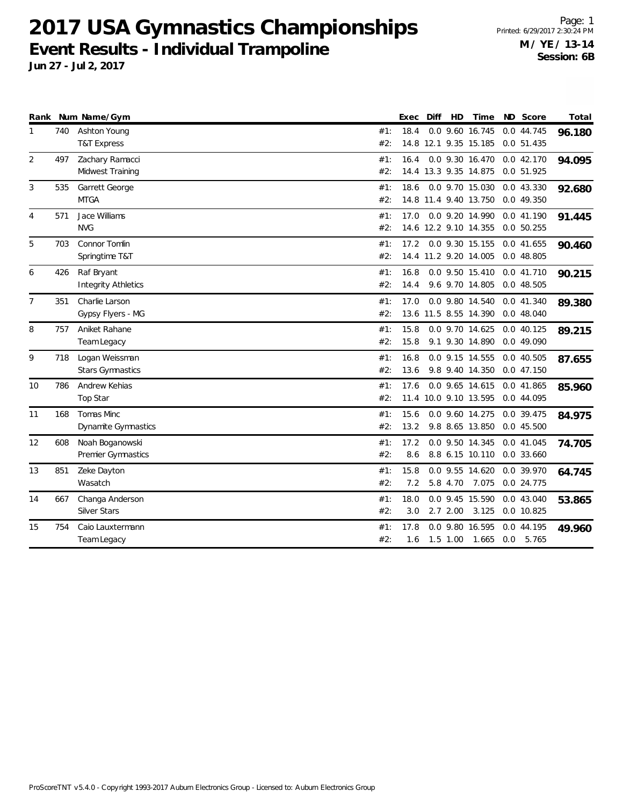**2017 USA Gymnastics Championships Event Results - Individual Trampoline**

| Rank           |     | Num Name/Gym                              |            | Exec         | Diff | HD         | Time                                     | ND Score                       | Total  |
|----------------|-----|-------------------------------------------|------------|--------------|------|------------|------------------------------------------|--------------------------------|--------|
|                | 740 | Ashton Young<br><b>T&amp;T Express</b>    | #1:<br>#2: | 18.4         |      |            | 0.0 9.60 16.745<br>14.8 12.1 9.35 15.185 | 0.0 44.745<br>0.0 51.435       | 96.180 |
| $\overline{2}$ | 497 | Zachary Ramacci<br>Midwest Training       | #1:<br>#2: | 16.4         |      |            | 0.0 9.30 16.470<br>14.4 13.3 9.35 14.875 | 0.042.170<br>0.0 51.925        | 94.095 |
| 3              | 535 | Garrett George<br><b>MTGA</b>             | #1:<br>#2: | 18.6         |      |            | 0.0 9.70 15.030<br>14.8 11.4 9.40 13.750 | 0.0 43.330<br>0.0 49.350       | 92.680 |
| 4              | 571 | Jace Williams<br><b>NVG</b>               | #1:<br>#2: | 17.0         |      |            | 0.0 9.20 14.990<br>14.6 12.2 9.10 14.355 | 0.0 41.190<br>0.050.255        | 91.445 |
| 5              | 703 | Connor Tomlin<br>Springtime T&T           | #1:<br>#2: | 17.2         |      |            | 0.0 9.30 15.155<br>14.4 11.2 9.20 14.005 | 0.0 41.655<br>0.0 48.805       | 90.460 |
| 6              | 426 | Raf Bryant<br><b>Integrity Athletics</b>  | #1:<br>#2: | 16.8<br>14.4 |      |            | 0.0 9.50 15.410<br>9.6 9.70 14.805       | 0.0 41.710<br>0.048.505        | 90.215 |
| $\overline{7}$ | 351 | Charlie Larson<br>Gypsy Flyers - MG       | #1:<br>#2: | 17.0         |      |            | 0.0 9.80 14.540<br>13.6 11.5 8.55 14.390 | 0.0 41.340<br>0.0 48.040       | 89.380 |
| 8              | 757 | Aniket Rahane<br>Team Legacy              | #1:<br>#2: | 15.8<br>15.8 |      |            | 0.0 9.70 14.625<br>9.1 9.30 14.890       | $0.0$ 40.125<br>0.0 49.090     | 89.215 |
| 9              | 718 | Logan Weissman<br><b>Stars Gymnastics</b> | #1:<br>#2: | 16.8<br>13.6 |      |            | 0.0 9.15 14.555<br>9.8 9.40 14.350       | 0.0 40.505<br>0.0 47.150       | 87.655 |
| 10             | 786 | Andrew Kehias<br>Top Star                 | #1:<br>#2: | 17.6         |      |            | 0.0 9.65 14.615<br>11.4 10.0 9.10 13.595 | 0.0 41.865<br>0.0 44.095       | 85.960 |
| 11             | 168 | Tomas Minc<br><b>Dynamite Gymnastics</b>  | #1:<br>#2: | 15.6<br>13.2 |      |            | 0.0 9.60 14.275<br>9.8 8.65 13.850       | 0.0 39.475<br>0.045.500        | 84.975 |
| 12             | 608 | Noah Boganowski<br>Premier Gymnastics     | #1:<br>#2: | 17.2<br>8.6  |      |            | 0.0 9.50 14.345<br>8.8 6.15 10.110       | 0.0 41.045<br>0.0 33.660       | 74.705 |
| 13             | 851 | Zeke Dayton<br>Wasatch                    | #1:<br>#2: | 15.8<br>7.2  |      | 5.8 4.70   | 0.0 9.55 14.620<br>7.075                 | 0.0 39.970<br>0.0 24.775       | 64.745 |
| 14             | 667 | Changa Anderson<br><b>Silver Stars</b>    | #1:<br>#2: | 18.0<br>3.0  |      | 2.72.00    | 0.0 9.45 15.590<br>3.125                 | 0.0 43.040<br>0.0 10.825       | 53.865 |
| 15             | 754 | Caio Lauxtermann<br>Team Legacy           | #1:<br>#2: | 17.8<br>1.6  |      | $1.5$ 1.00 | 0.0 9.80 16.595<br>1.665                 | 0.0 44.195<br>$0.0\quad 5.765$ | 49.960 |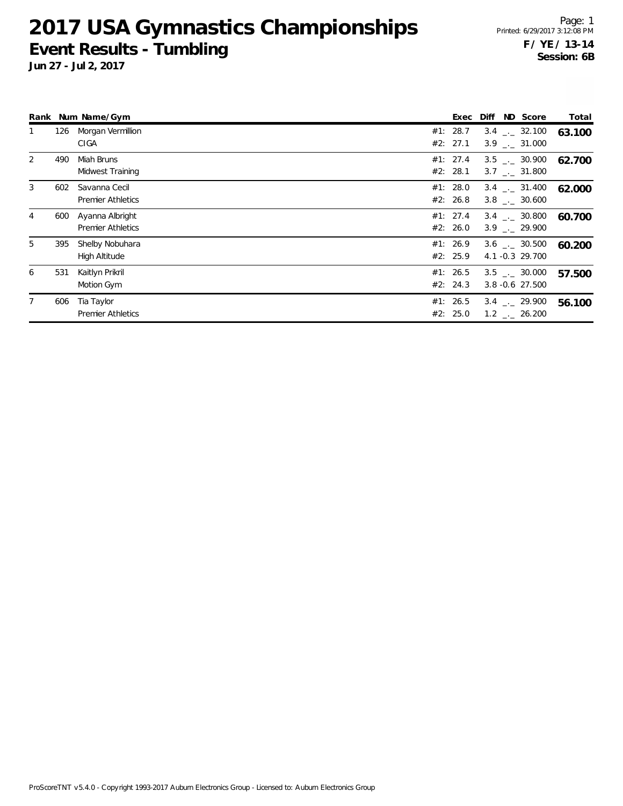#### **2017 USA Gymnastics Championships Event Results - Tumbling**

**Jun 27 - Jul 2, 2017**

Page: 1 Printed: 6/29/2017 3:12:08 PM **F / YE / 13-14 Session: 6B**

|                |     | Rank Num Name/Gym                           | Exec                   | ND Score<br>Diff                                       | Total  |
|----------------|-----|---------------------------------------------|------------------------|--------------------------------------------------------|--------|
|                | 126 | Morgan Vermillion<br>CIGA                   | #1: 28.7<br>#2: 27.1   | $3.4$ $_{\leftarrow}$ 32.100<br>$3.9$ $-.$ 31.000      | 63.100 |
| 2              | 490 | Miah Bruns<br>Midwest Training              | #1: 27.4<br>#2: 28.1   | $3.5$ $_{\leftarrow}$ 30.900<br>$3.7$ $_{\sim}$ 31.800 | 62.700 |
| 3              | 602 | Savanna Cecil<br><b>Premier Athletics</b>   | #1: $28.0$<br>#2: 26.8 | $3.4$ $_{\leftarrow}$ 31.400<br>$3.8$ $_{\sim}$ 30.600 | 62.000 |
| 4              | 600 | Ayanna Albright<br><b>Premier Athletics</b> | #1: 27.4<br>#2: 26.0   | $3.4$ $_{-1}$ 30.800<br>$3.9$ $-.29.900$               | 60.700 |
| 5              | 395 | Shelby Nobuhara<br>High Altitude            | #1: 26.9<br>#2: 25.9   | $3.6$ $_{\sim}$ 30.500<br>4.1 -0.3 29.700              | 60.200 |
| 6              | 531 | Kaitlyn Prikril<br>Motion Gym               | #1: 26.5<br>#2: 24.3   | $3.5$ $_{-1}$ 30.000<br>$3.8 - 0.6$ 27.500             | 57.500 |
| $\overline{7}$ | 606 | Tia Taylor<br><b>Premier Athletics</b>      | #1: 26.5<br>#2: 25.0   | $3.4$ $_{\sim}$ 29.900<br>$1.2$ $_{\leftarrow}$ 26.200 | 56.100 |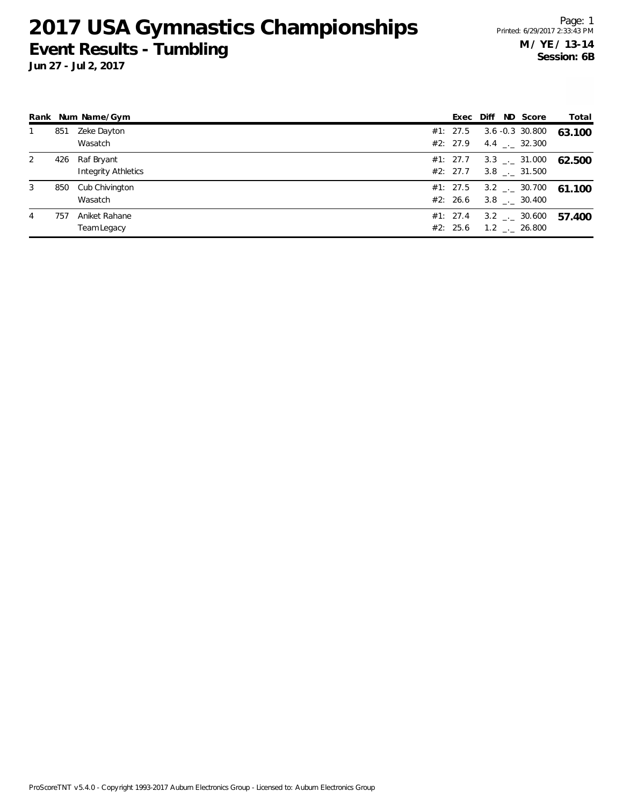### **2017 USA Gymnastics Championships Event Results - Tumbling**

**Jun 27 - Jul 2, 2017**

Page: 1 Printed: 6/29/2017 2:33:43 PM **M / YE / 13-14 Session: 6B**

|   |     | Rank Num Name/Gym                        |                      |  | Exec Diff ND Score                                         | Total  |
|---|-----|------------------------------------------|----------------------|--|------------------------------------------------------------|--------|
|   | 851 | Zeke Dayton<br>Wasatch                   | #1: 27.5<br>#2: 27.9 |  | $3.6 - 0.3$ 30.800<br>4.4 $\qquad$ 32.300                  | 63.100 |
| 2 | 426 | Raf Bryant<br><b>Integrity Athletics</b> |                      |  | $#1: 27.7 \t 3.3 \t  \t 31.000$<br>$#2: 27.7$ 3.8 . 31.500 | 62.500 |
| 3 |     | 850 Cub Chivington<br>Wasatch            | #2: 26.6             |  | #1: 27.5 3.2 $\frac{1}{2}$ 30.700<br>3.8 . 30.400          | 61.100 |
| 4 | 757 | Aniket Rahane<br>Team Legacy             | #1: 27.4<br>#2: 25.6 |  | $3.2$ $_{\leftarrow}$ 30.600<br>$1.2$ $_{\sim}$ 26.800     | 57.400 |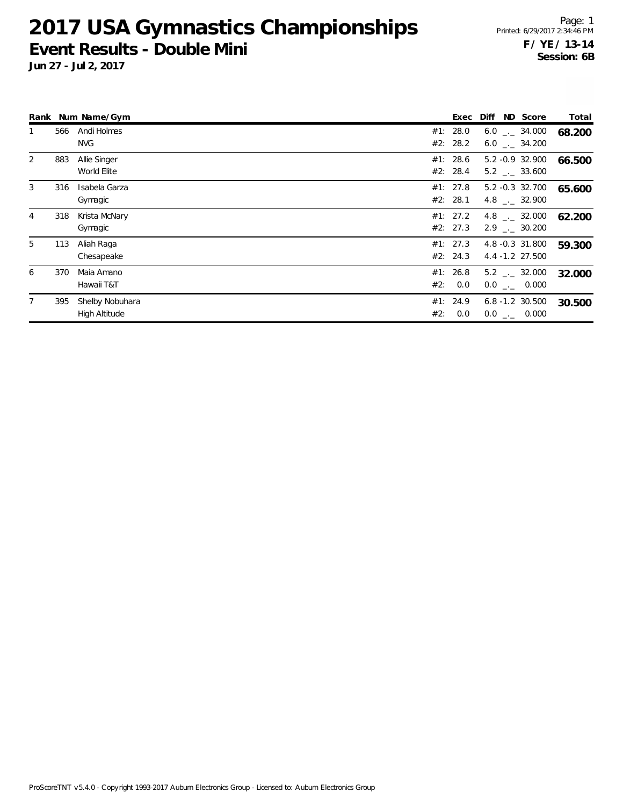#### **2017 USA Gymnastics Championships Event Results - Double Mini**

|                |     | Rank Num Name/Gym                |     | Exec                 | Diff ND Score                                    | Total  |
|----------------|-----|----------------------------------|-----|----------------------|--------------------------------------------------|--------|
|                | 566 | Andi Holmes<br><b>NVG</b>        |     | #1: 28.0<br>#2: 28.2 | $6.0$ _ $-34.000$<br>$6.0$ _._ 34.200            | 68.200 |
| $\overline{2}$ | 883 | Allie Singer<br>World Elite      |     | #1: 28.6<br>#2: 28.4 | 5.2 -0.9 32.900<br>$5.2$ _._ 33.600              | 66.500 |
| 3              | 316 | Isabela Garza<br>Gymagic         |     | #1: 27.8<br>#2: 28.1 | 5.2 -0.3 32.700<br>4.8 $\qquad$ - 32.900         | 65.600 |
| $\overline{4}$ | 318 | Krista McNary<br>Gymagic         |     | #1: 27.2<br>#2: 27.3 | $4.8$ $_{\sim}$ 32.000<br>$2.9$ $_{\sim}$ 30.200 | 62.200 |
| 5              | 113 | Aliah Raga<br>Chesapeake         |     | #1: 27.3<br>#2: 24.3 | 4.8 -0.3 31.800<br>4.4 -1.2 27.500               | 59.300 |
| 6              | 370 | Maia Amano<br>Hawaii T&T         |     | #1: 26.8<br>#2: 0.0  | $5.2$ $_{\leftarrow}$ 32.000<br>$0.0$ _._ 0.000  | 32.000 |
|                | 395 | Shelby Nobuhara<br>High Altitude | #2: | #1: 24.9<br>0.0      | $6.8 - 1.2$ 30.500<br>$0.0$ _._ 0.000            | 30.500 |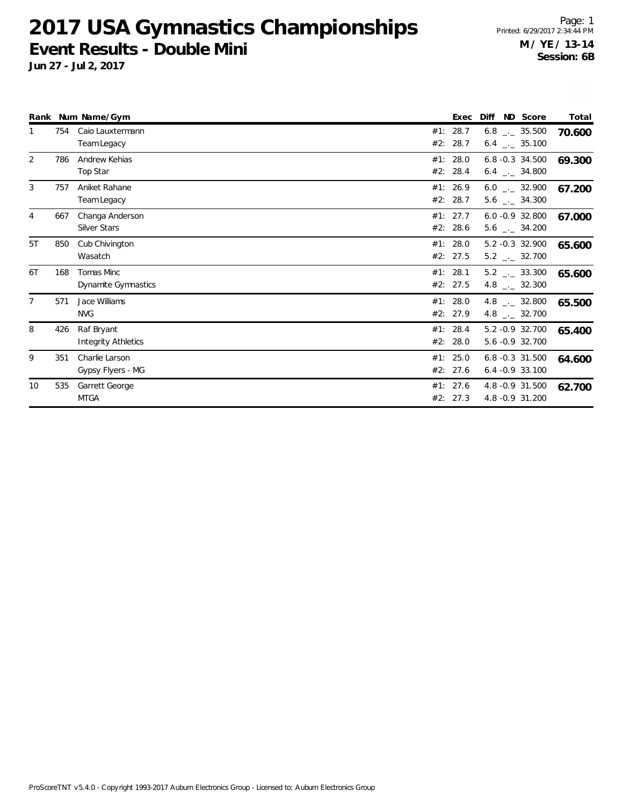#### **2017 USA Gymnastics Championships Event Results - Double Mini**

**Jun 27 - Jul 2, 2017**

Page: 1 Printed: 6/29/2017 2:34:44 PM **M / YE / 13-14 Session: 6B**

|                |     | Rank Num Name/Gym                      |            | Exec                 | Diff<br>ND Score                                             | Total  |
|----------------|-----|----------------------------------------|------------|----------------------|--------------------------------------------------------------|--------|
| 1              | 754 | Caio Lauxtermann<br>Team Legacy        | #1:<br>#2: | 28.7<br>28.7         | $6.8$ $_{\leftarrow}$ 35.500<br>$6.4$ $_{\leftarrow}$ 35.100 | 70.600 |
| 2              | 786 | Andrew Kehias<br>Top Star              |            | #1: 28.0<br>#2: 28.4 | $6.8 - 0.3$ 34.500<br>$6.4$ $-2.34.800$                      | 69.300 |
| 3              | 757 | Aniket Rahane<br>Team Legacy           |            | #1: 26.9<br>#2: 28.7 | $6.0$ $_{\leftarrow}$ 32.900<br>$5.6$ $_{\leftarrow}$ 34.300 | 67.200 |
| $\overline{4}$ | 667 | Changa Anderson<br><b>Silver Stars</b> |            | #1: 27.7<br>#2: 28.6 | $6.0 - 0.9$ 32.800<br>$5.6$ $-2.34.200$                      | 67.000 |
| 5T             | 850 | Cub Chivington<br>Wasatch              |            | #1: 28.0<br>#2: 27.5 | 5.2 -0.3 32.900<br>$5.2$ $_{\leftarrow}$ 32.700              | 65.600 |
| 6T             | 168 | Tomas Minc<br>Dynamite Gymnastics      | #1: 28.1   | #2: 27.5             | $5.2$ $_{\leftarrow}$ 33.300<br>4.8 $_{\leftarrow}$ 32.300   | 65.600 |
| $\overline{7}$ | 571 | Jace Williams<br><b>NVG</b>            |            | #1: 28.0<br>#2: 27.9 | 4.8 $_{\leftarrow}$ 32.800<br>4.8 $\frac{1}{2}$ 32.700       | 65.500 |
| 8              | 426 | Raf Bryant<br>Integrity Athletics      |            | #1: 28.4<br>#2: 28.0 | 5.2 -0.9 32.700<br>5.6 -0.9 32.700                           | 65.400 |
| 9              | 351 | Charlie Larson<br>Gypsy Flyers - MG    |            | #1: 25.0<br>#2: 27.6 | 6.8 -0.3 31.500<br>$6.4 -0.9$ 33.100                         | 64.600 |
| 10             | 535 | Garrett George<br><b>MTGA</b>          |            | #1: 27.6<br>#2: 27.3 | 4.8 -0.9 31.500<br>4.8 - 0.9 31.200                          | 62.700 |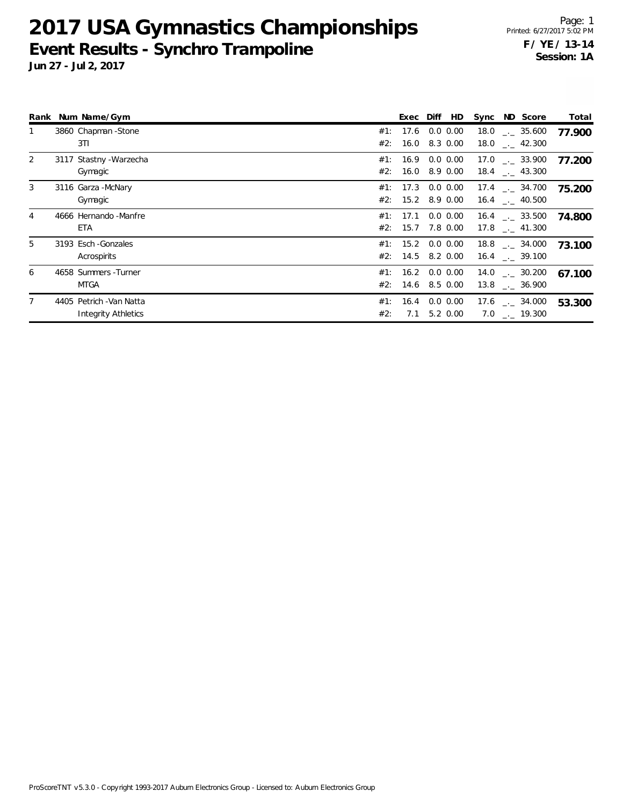## **2017 USA Gymnastics Championships Event Results - Synchro Trampoline**

|                | Rank Num Name/Gym          |     | Exec Diff            | HD            | Sync ND Score                 | Total  |
|----------------|----------------------------|-----|----------------------|---------------|-------------------------------|--------|
|                | 3860 Chapman - Stone       |     | #1: 17.6             | $0.0\, 0.00$  | $18.0$ $_{-}$ 35.600          | 77.900 |
|                | 3TI                        |     | #2: 16.0 8.3 0.00    |               | 18.0 $\frac{1}{2}$ 42.300     |        |
| 2              | 3117 Stastny - Warzecha    |     | #1: 16.9 0.0 0.00    |               | $17.0$ $_{\sim}$ 33.900       | 77.200 |
|                | Gymagic                    |     | #2: 16.0 8.9 0.00    |               | $18.4$ $_{\dots}$ 43.300      |        |
| 3              | 3116 Garza - McNary        |     | #1: 17.3             | $0.0\, 0.00$  | $17.4$ $_{\sim}$ 34.700       | 75.200 |
|                | Gymagic                    |     | #2: 15.2 8.9 0.00    |               | $16.4$ $-.$ 40.500            |        |
| $\overline{4}$ | 4666 Hernando - Manfre     |     | #1: 17.1             | $0.0 \, 0.00$ | $16.4$ $_{\sim}$ 33.500       | 74.800 |
|                | ETA                        |     | #2: 15.7             | 7.8 0.00      | 17.8 . 41.300                 |        |
| 5              | 3193 Esch - Gonzales       |     | #1: 15.2 0.0 0.00    |               | $18.8$ $_{\sim}$ 34.000       | 73.100 |
|                | Acrospirits                |     | #2: 14.5 8.2 0.00    |               | $16.4$ $_{\sim}$ 39.100       |        |
| 6              | 4658 Summers - Turner      |     | #1: 16.2 0.0 0.00    |               | $14.0$ $_{\leftarrow}$ 30.200 | 67.100 |
|                | <b>MTGA</b>                |     | $#2$ : 14.6 8.5 0.00 |               | $13.8$ $_{\dots}$ 36.900      |        |
|                | 4405 Petrich - Van Natta   |     | #1: 16.4             | $0.0\, 0.00$  | $17.6$ $_{\leftarrow}$ 34.000 | 53.300 |
|                | <b>Integrity Athletics</b> | #2: | 7.1                  | 5.2 0.00      | $7.0$ _. 19.300               |        |